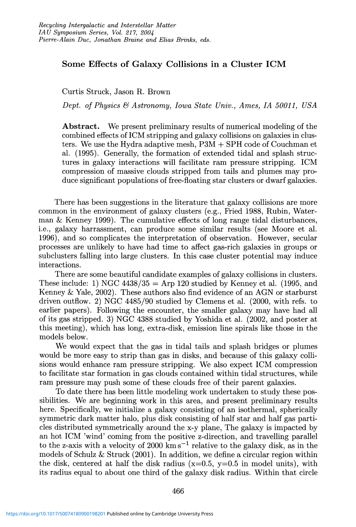## Some Effects of Galaxy Collisions in a Cluster ICM

Curtis Struck, Jason R. Brown

*Dept. of Physics* fj *Astronomy, Iowa State Univ., Ames, IA 50011, USA*

Abstract. We present preliminary results of numerical modeling of the combined effects of ICM stripping and galaxy collisions on galaxies in clusters. We use the Hydra adaptive mesh, P3M + SPH code of Couchman et al. (1995). Generally, the formation of extended tidal and splash structures in galaxy interactions will facilitate ram pressure stripping. ICM compression of massive clouds stripped from tails and plumes may produce significant populations of free-floating star clusters or dwarf galaxies.

There has been suggestions in the literature that galaxy collisions are more common in the environment of galaxy clusters (e.g., Fried 1988, Rubin, Waterman & Kenney 1999). The cumulative effects of long range tidal disturbances, i.e., galaxy harrassment, can produce some similar results (see Moore et al. 1996), and so complicates the interpretation of observation. However, secular processes are unlikely to have had time to affect gas-rich galaxies in groups or subclusters falling into large clusters. In this case cluster potential may induce interactions.

There are some beautiful candidate examples of galaxy collisions in clusters. These include: 1) NGC  $4438/35 =$  Arp 120 studied by Kenney et al. (1995, and Kenney & Yale, 2002). These authors also find evidence of an AGN or starburst driven outflow. 2) NGC 4485/90 studied by Clemens et al. (2000, with refs. to earlier papers). Following the encounter, the smaller galaxy may have had all of its gas stripped. 3) NGC 4388 studied by Yoshida et al. (2002, and poster at this meeting), which has long, extra-disk, emission line spirals like those in the models below.

We would expect that the gas in tidal tails and splash bridges or plumes would be more easy to strip than gas in disks, and because of this galaxy collisions would enhance ram pressure stripping. We also expect ICM compression to facilitate star formation in gas clouds contained within tidal structures, while ram pressure may push some of these clouds free of their parent galaxies.

To date there has been little modeling work undertaken to study these possibilities. We are beginning work in this area, and present preliminary results here. Specifically, we initialize a galaxy consisting of an isothermal, spherically symmetric dark matter halo, plus disk consisting of half star and half gas particles distributed symmetrically around the x-y plane, The galaxy is impacted by an hot ICM 'wind' coming from the positive z-direction, and travelling parallel to the z-axis with a velocity of 2000 km s<sup>-1</sup> relative to the galaxy disk, as in the models of Schulz  $&$  Struck (2001). In addition, we define a circular region within the disk, centered at half the disk radius  $(x=0.5, y=0.5$  in model units), with its radius equal to about one third of the galaxy disk radius. Within that circle

466